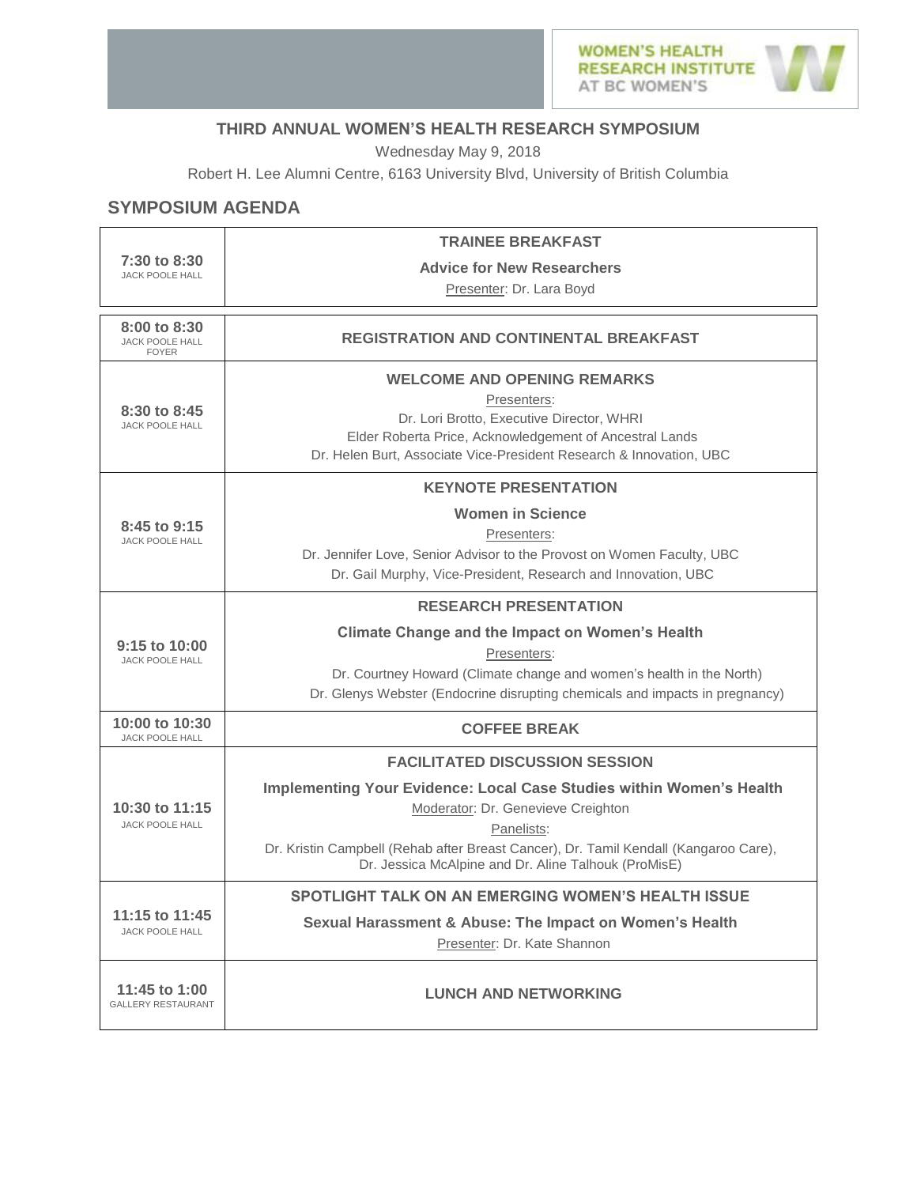

## **THIRD ANNUAL WOMEN'S HEALTH RESEARCH SYMPOSIUM**

Wednesday May 9, 2018

Robert H. Lee Alumni Centre, 6163 University Blvd, University of British Columbia

## **SYMPOSIUM AGENDA**

| 7:30 to 8:30<br><b>JACK POOLE HALL</b>                 | <b>TRAINEE BREAKFAST</b>                                                                                                                                                                                                         |  |  |  |
|--------------------------------------------------------|----------------------------------------------------------------------------------------------------------------------------------------------------------------------------------------------------------------------------------|--|--|--|
|                                                        | <b>Advice for New Researchers</b>                                                                                                                                                                                                |  |  |  |
|                                                        | Presenter: Dr. Lara Boyd                                                                                                                                                                                                         |  |  |  |
| 8:00 to 8:30<br><b>JACK POOLE HALL</b><br><b>FOYER</b> | <b>REGISTRATION AND CONTINENTAL BREAKFAST</b>                                                                                                                                                                                    |  |  |  |
| 8:30 to 8:45<br><b>JACK POOLE HALL</b>                 | <b>WELCOME AND OPENING REMARKS</b><br>Presenters:<br>Dr. Lori Brotto, Executive Director, WHRI<br>Elder Roberta Price, Acknowledgement of Ancestral Lands<br>Dr. Helen Burt, Associate Vice-President Research & Innovation, UBC |  |  |  |
|                                                        | <b>KEYNOTE PRESENTATION</b>                                                                                                                                                                                                      |  |  |  |
| 8:45 to 9:15<br><b>JACK POOLE HALL</b>                 | <b>Women in Science</b>                                                                                                                                                                                                          |  |  |  |
|                                                        | Presenters:                                                                                                                                                                                                                      |  |  |  |
|                                                        | Dr. Jennifer Love, Senior Advisor to the Provost on Women Faculty, UBC<br>Dr. Gail Murphy, Vice-President, Research and Innovation, UBC                                                                                          |  |  |  |
| 9:15 to 10:00<br><b>JACK POOLE HALL</b>                | <b>RESEARCH PRESENTATION</b>                                                                                                                                                                                                     |  |  |  |
|                                                        | <b>Climate Change and the Impact on Women's Health</b>                                                                                                                                                                           |  |  |  |
|                                                        | Presenters:                                                                                                                                                                                                                      |  |  |  |
|                                                        | Dr. Courtney Howard (Climate change and women's health in the North)                                                                                                                                                             |  |  |  |
|                                                        | Dr. Glenys Webster (Endocrine disrupting chemicals and impacts in pregnancy)                                                                                                                                                     |  |  |  |
| 10:00 to 10:30<br><b>JACK POOLE HALL</b>               | <b>COFFEE BREAK</b>                                                                                                                                                                                                              |  |  |  |
| 10:30 to 11:15<br><b>JACK POOLE HALL</b>               | <b>FACILITATED DISCUSSION SESSION</b>                                                                                                                                                                                            |  |  |  |
|                                                        | Implementing Your Evidence: Local Case Studies within Women's Health                                                                                                                                                             |  |  |  |
|                                                        | Moderator: Dr. Genevieve Creighton                                                                                                                                                                                               |  |  |  |
|                                                        | Panelists:<br>Dr. Kristin Campbell (Rehab after Breast Cancer), Dr. Tamil Kendall (Kangaroo Care),                                                                                                                               |  |  |  |
|                                                        | Dr. Jessica McAlpine and Dr. Aline Talhouk (ProMisE)                                                                                                                                                                             |  |  |  |
| 11:15 to 11:45<br><b>JACK POOLE HALL</b>               | SPOTLIGHT TALK ON AN EMERGING WOMEN'S HEALTH ISSUE                                                                                                                                                                               |  |  |  |
|                                                        | Sexual Harassment & Abuse: The Impact on Women's Health                                                                                                                                                                          |  |  |  |
|                                                        | Presenter: Dr. Kate Shannon                                                                                                                                                                                                      |  |  |  |
| 11:45 to 1:00<br><b>GALLERY RESTAURANT</b>             | <b>LUNCH AND NETWORKING</b>                                                                                                                                                                                                      |  |  |  |